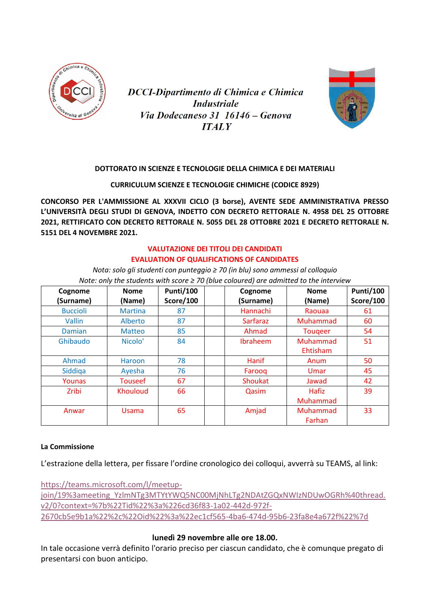

**DCCI-Dipartimento di Chimica e Chimica Industriale** Via Dodecaneso 31 16146 – Genova **ITALY** 



## **DOTTORATO IN SCIENZE E TECNOLOGIE DELLA CHIMICA E DEI MATERIALI**

**CURRICULUM SCIENZE E TECNOLOGIE CHIMICHE (CODICE 8929)**

**CONCORSO PER L'AMMISSIONE AL XXXVII CICLO (3 borse), AVENTE SEDE AMMINISTRATIVA PRESSO L'UNIVERSITÀ DEGLI STUDI DI GENOVA, INDETTO CON DECRETO RETTORALE N. 4958 DEL 25 OTTOBRE 2021, RETTIFICATO CON DECRETO RETTORALE N. 5055 DEL 28 OTTOBRE 2021 E DECRETO RETTORALE N. 5151 DEL 4 NOVEMBRE 2021.**

## **VALUTAZIONE DEI TITOLI DEI CANDIDATI EVALUATION OF QUALIFICATIONS OF CANDIDATES**

*Nota: solo gli studenti con punteggio ≥ 70 (in blu) sono ammessi al colloquio Note: only the students with score ≥ 70 (blue coloured) are admitted to the interview*

| Cognome         | <b>Nome</b>         | <b>Punti/100</b> | Cognome         | <b>Nome</b>    | <b>Punti/100</b> |
|-----------------|---------------------|------------------|-----------------|----------------|------------------|
| (Surname)       | (Name)              | <b>Score/100</b> | (Surname)       | (Name)         | <b>Score/100</b> |
| <b>Buccioli</b> | <b>Martina</b>      | 87               | Hannachi        | Raouaa         | 61               |
| Vallin          | Alberto             | 87               | <b>Sarfaraz</b> | Muhammad       | 60               |
| Damian          | <b>Matteo</b>       | 85               | Ahmad           | <b>Tougeer</b> | 54               |
| Ghibaudo        | Nicolo <sup>'</sup> | 84               | <b>Ibraheem</b> | Muhammad       | 51               |
|                 |                     |                  |                 | Ehtisham       |                  |
| Ahmad           | Haroon              | 78               | Hanif           | Anum           | 50               |
| Siddiga         | Ayesha              | 76               | Farooq          | Umar           | 45               |
| Younas          | <b>Touseef</b>      | 67               | Shoukat         | Jawad          | 42               |
| <b>Zribi</b>    | <b>Khouloud</b>     | 66               | Qasim           | Hafiz          | 39               |
|                 |                     |                  |                 | Muhammad       |                  |
| Anwar           | <b>Usama</b>        | 65               | Amjad           | Muhammad       | 33               |
|                 |                     |                  |                 | Farhan         |                  |

## **La Commissione**

L'estrazione della lettera, per fissare l'ordine cronologico dei colloqui, avverrà su TEAMS, al link:

[https://teams.microsoft.com/l/meetup](https://teams.microsoft.com/l/meetup-join/19%3ameeting_YzlmNTg3MTYtYWQ5NC00MjNhLTg2NDAtZGQxNWIzNDUwOGRh%40thread.v2/0?context=%7b%22Tid%22%3a%226cd36f83-1a02-442d-972f-2670cb5e9b1a%22%2c%22Oid%22%3a%22ec1cf565-4ba6-474d-95b6-23fa8e4a672f%22%7d)[join/19%3ameeting\\_YzlmNTg3MTYtYWQ5NC00MjNhLTg2NDAtZGQxNWIzNDUwOGRh%40thread.](https://teams.microsoft.com/l/meetup-join/19%3ameeting_YzlmNTg3MTYtYWQ5NC00MjNhLTg2NDAtZGQxNWIzNDUwOGRh%40thread.v2/0?context=%7b%22Tid%22%3a%226cd36f83-1a02-442d-972f-2670cb5e9b1a%22%2c%22Oid%22%3a%22ec1cf565-4ba6-474d-95b6-23fa8e4a672f%22%7d) [v2/0?context=%7b%22Tid%22%3a%226cd36f83-1a02-442d-972f-](https://teams.microsoft.com/l/meetup-join/19%3ameeting_YzlmNTg3MTYtYWQ5NC00MjNhLTg2NDAtZGQxNWIzNDUwOGRh%40thread.v2/0?context=%7b%22Tid%22%3a%226cd36f83-1a02-442d-972f-2670cb5e9b1a%22%2c%22Oid%22%3a%22ec1cf565-4ba6-474d-95b6-23fa8e4a672f%22%7d)[2670cb5e9b1a%22%2c%22Oid%22%3a%22ec1cf565-4ba6-474d-95b6-23fa8e4a672f%22%7d](https://teams.microsoft.com/l/meetup-join/19%3ameeting_YzlmNTg3MTYtYWQ5NC00MjNhLTg2NDAtZGQxNWIzNDUwOGRh%40thread.v2/0?context=%7b%22Tid%22%3a%226cd36f83-1a02-442d-972f-2670cb5e9b1a%22%2c%22Oid%22%3a%22ec1cf565-4ba6-474d-95b6-23fa8e4a672f%22%7d)

## **lunedì 29 novembre alle ore 18.00.**

In tale occasione verrà definito l'orario preciso per ciascun candidato, che è comunque pregato di presentarsi con buon anticipo.